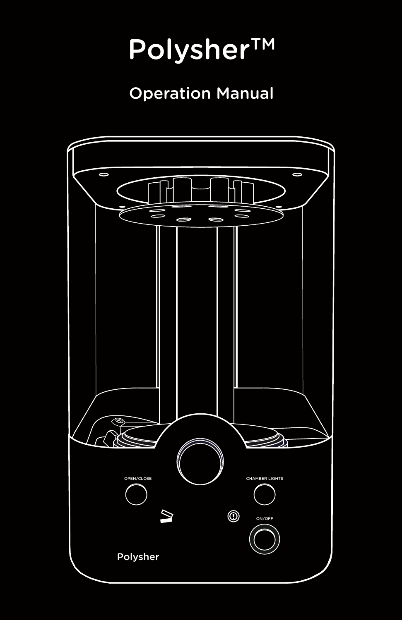# Polysher™

# Operation Manual

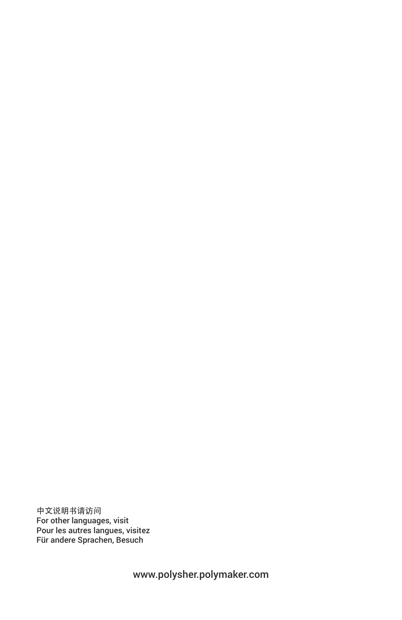中文说明书请访问 For other languages, visit Pour les autres langues, visitez Für andere Sprachen, Besuch

www.polysher.polymaker.com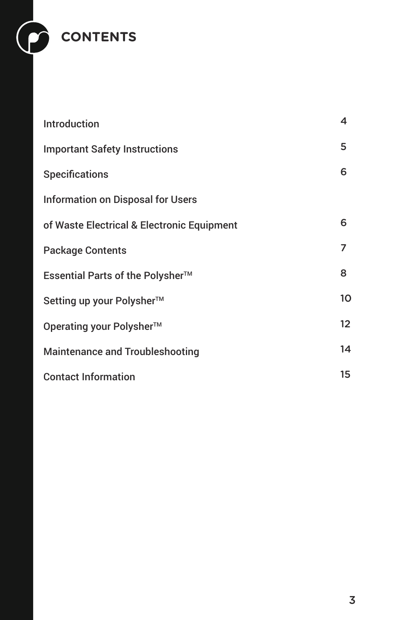

| Introduction                               | 4  |
|--------------------------------------------|----|
| <b>Important Safety Instructions</b>       | 5  |
| <b>Specifications</b>                      | 6  |
| <b>Information on Disposal for Users</b>   |    |
| of Waste Electrical & Electronic Equipment | 6  |
| <b>Package Contents</b>                    | 7  |
| Essential Parts of the Polysher™           | 8  |
| Setting up your Polysher™                  | 10 |
| Operating your Polysher™                   | 12 |
| <b>Maintenance and Troubleshooting</b>     | 14 |
| <b>Contact Information</b>                 |    |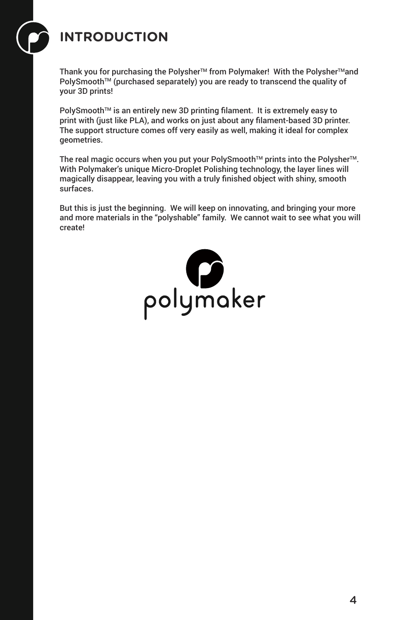# **INTRODUCTION**

Thank you for purchasing the Polysher™ from Polymaker! With the Polysher™and PolySmooth™ (purchased separately) you are ready to transcend the quality of your 3D prints!

PolySmooth™ is an entirely new 3D printing filament. It is extremely easy to print with (just like PLA), and works on just about any filament-based 3D printer. The support structure comes off very easily as well, making it ideal for complex geometries.

The real magic occurs when you put your PolySmooth™ prints into the Polysher<sup>™</sup>. With Polymaker's unique Micro-Droplet Polishing technology, the layer lines will magically disappear, leaving you with a truly finished object with shiny, smooth surfaces.

But this is just the beginning. We will keep on innovating, and bringing your more and more materials in the "polyshable" family. We cannot wait to see what you will create!

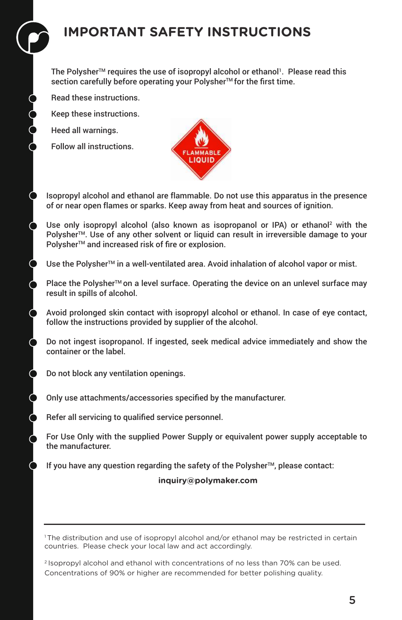# **IMPORTANT SAFETY INSTRUCTIONS**

The Polysher™ requires the use of isopropyl alcohol or ethanol<sup>1</sup>. Please read this section carefully before operating your Polysher™ for the first time.

Read these instructions.

Keep these instructions.

Heed all warnings.

Follow all instructions.



Isopropyl alcohol and ethanol are flammable. Do not use this apparatus in the presence of or near open flames or sparks. Keep away from heat and sources of ignition.

Use only isopropyl alcohol (also known as isopropanol or IPA) or ethanol<sup>2</sup> with the Polysher™. Use of any other solvent or liquid can result in irreversible damage to your Polysher<sup>™</sup> and increased risk of fire or explosion.

Use the Polysher<sup>™</sup> in a well-ventilated area. Avoid inhalation of alcohol vapor or mist.

Place the Polysher<sup>™</sup> on a level surface. Operating the device on an unlevel surface may result in spills of alcohol.

Avoid prolonged skin contact with isopropyl alcohol or ethanol. In case of eye contact, follow the instructions provided by supplier of the alcohol.

Do not ingest isopropanol. If ingested, seek medical advice immediately and show the container or the label.

Do not block any ventilation openings.

Only use attachments/accessories specified by the manufacturer.

Refer all servicing to qualified service personnel.

For Use Only with the supplied Power Supply or equivalent power supply acceptable to the manufacturer.

If you have any question regarding the safety of the Polysher™, please contact:

 **inquiry@polymaker.com** 

<sup>1</sup>The distribution and use of isopropyl alcohol and/or ethanol may be restricted in certain countries. Please check your local law and act accordingly.

<sup>2</sup> Isopropyl alcohol and ethanol with concentrations of no less than 70% can be used. Concentrations of 90% or higher are recommended for better polishing quality.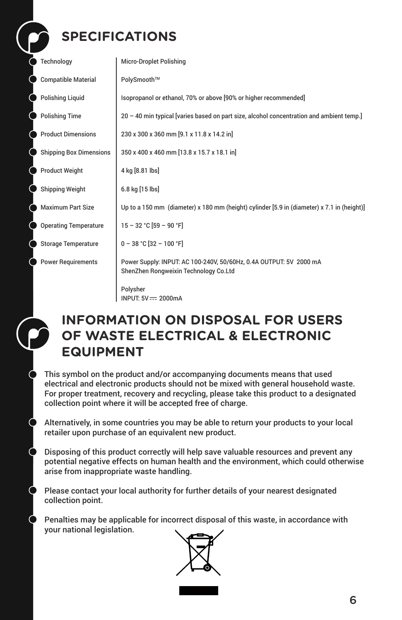# **SPECIFICATIONS**

| Technology                     | <b>Micro-Droplet Polishing</b>                                                                              |
|--------------------------------|-------------------------------------------------------------------------------------------------------------|
| <b>Compatible Material</b>     | PolySmooth™                                                                                                 |
| <b>Polishing Liquid</b>        | Isopropanol or ethanol, 70% or above [90% or higher recommended]                                            |
| <b>Polishing Time</b>          | 20 - 40 min typical [varies based on part size, alcohol concentration and ambient temp.]                    |
| <b>Product Dimensions</b>      | 230 x 300 x 360 mm [9.1 x 11.8 x 14.2 in]                                                                   |
| <b>Shipping Box Dimensions</b> | 350 x 400 x 460 mm [13.8 x 15.7 x 18.1 in]                                                                  |
| <b>Product Weight</b>          | 4 kg [8.81 lbs]                                                                                             |
| <b>Shipping Weight</b>         | 6.8 kg [15 lbs]                                                                                             |
| <b>Maximum Part Size</b>       | Up to a 150 mm (diameter) x 180 mm (height) cylinder [5.9 in (diameter) x 7.1 in (height)]                  |
| <b>Operating Temperature</b>   | $15 - 32 °C$ [59 - 90 °F]                                                                                   |
| <b>Storage Temperature</b>     | $0 - 38 °C$ [32 - 100 °F]                                                                                   |
| <b>Power Requirements</b>      | Power Supply: INPUT: AC 100-240V, 50/60Hz, 0.4A OUTPUT: 5V 2000 mA<br>ShenZhen Rongweixin Technology Co.Ltd |
|                                | Polysher<br>INPUT: 5V == 2000mA                                                                             |



 $\bullet$ 

 $\bullet$ 

 $\bullet$ 

## **INFORMATION ON DISPOSAL FOR USERS OF WASTE ELECTRICAL & ELECTRONIC EQUIPMENT**

This symbol on the product and/or accompanying documents means that used electrical and electronic products should not be mixed with general household waste. For proper treatment, recovery and recycling, please take this product to a designated collection point where it will be accepted free of charge.

Alternatively, in some countries you may be able to return your products to your local retailer upon purchase of an equivalent new product.

Disposing of this product correctly will help save valuable resources and prevent any potential negative effects on human health and the environment, which could otherwise arise from inappropriate waste handling.

Please contact your local authority for further details of your nearest designated collection point.

Penalties may be applicable for incorrect disposal of this waste, in accordance with your national legislation.

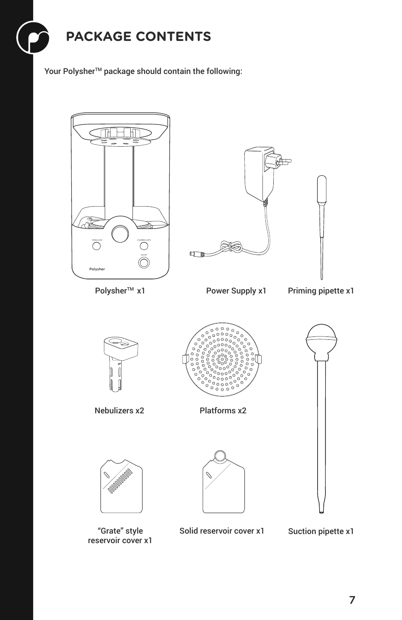

Your Polysher™ package should contain the following:



reservoir cover x1

"Grate" style Suction pipette x1 Solid reservoir cover x1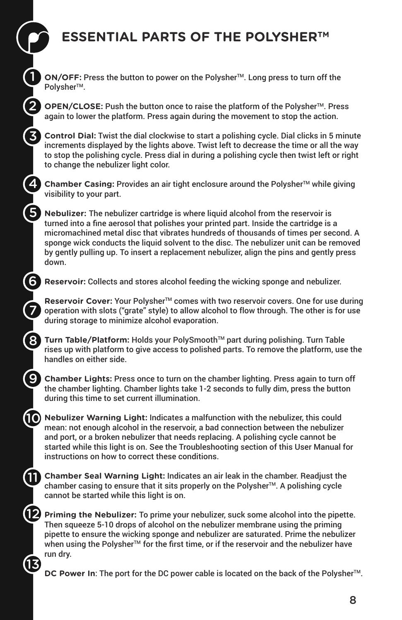# **ESSENTIAL PARTS OF THE POLYSHERTM**

**ON/OFF:** Press the button to power on the Polysher™. Long press to turn off the Polysher<sup>™</sup>.

1

2

3

4

5

6

7

8

9

**M** 

12

13

**OPEN/CLOSE:** Push the button once to raise the platform of the Polysher™. Press again to lower the platform. Press again during the movement to stop the action.

**Control Dial:** Twist the dial clockwise to start a polishing cycle. Dial clicks in 5 minute increments displayed by the lights above. Twist left to decrease the time or all the way to stop the polishing cycle. Press dial in during a polishing cycle then twist left or right to change the nebulizer light color.

**Chamber Casing:** Provides an air tight enclosure around the Polysher™ while giving visibility to your part.

**Nebulizer:** The nebulizer cartridge is where liquid alcohol from the reservoir is turned into a fine aerosol that polishes your printed part. Inside the cartridge is a micromachined metal disc that vibrates hundreds of thousands of times per second. A sponge wick conducts the liquid solvent to the disc. The nebulizer unit can be removed by gently pulling up. To insert a replacement nebulizer, align the pins and gently press down.

**Reservoir:** Collects and stores alcohol feeding the wicking sponge and nebulizer.

**Reservoir Cover:** Your Polysher™ comes with two reservoir covers. One for use during operation with slots ("grate" style) to allow alcohol to flow through. The other is for use during storage to minimize alcohol evaporation.

**Turn Table/Platform:** Holds your PolySmooth™ part during polishing. Turn Table rises up with platform to give access to polished parts. To remove the platform, use the handles on either side.

**Chamber Lights:** Press once to turn on the chamber lighting. Press again to turn off the chamber lighting. Chamber lights take 1-2 seconds to fully dim, press the button during this time to set current illumination.

**10** Nebulizer Warning Light: Indicates a malfunction with the nebulizer, this could mean: not enough alcohol in the reservoir, a bad connection between the nebulizer and port, or a broken nebulizer that needs replacing. A polishing cycle cannot be started while this light is on. See the Troubleshooting section of this User Manual for instructions on how to correct these conditions.

**Chamber Seal Warning Light:** Indicates an air leak in the chamber. Readjust the chamber casing to ensure that it sits properly on the Polysher $TM$ . A polishing cycle cannot be started while this light is on.

**Priming the Nebulizer:** To prime your nebulizer, suck some alcohol into the pipette. Then squeeze 5-10 drops of alcohol on the nebulizer membrane using the priming pipette to ensure the wicking sponge and nebulizer are saturated. Prime the nebulizer when using the Polysher<sup>TM</sup> for the first time, or if the reservoir and the nebulizer have run dry.

**DC Power In:** The port for the DC power cable is located on the back of the Polysher<sup>™</sup>.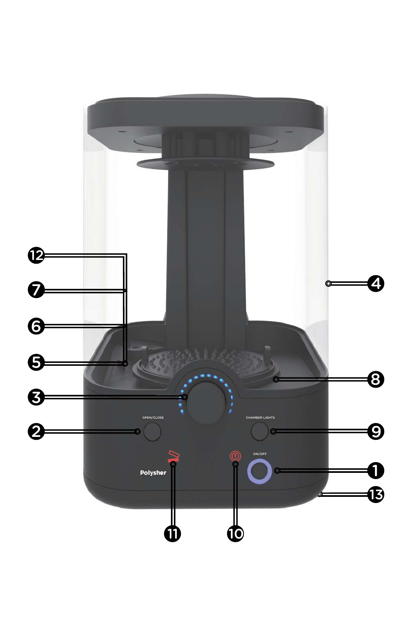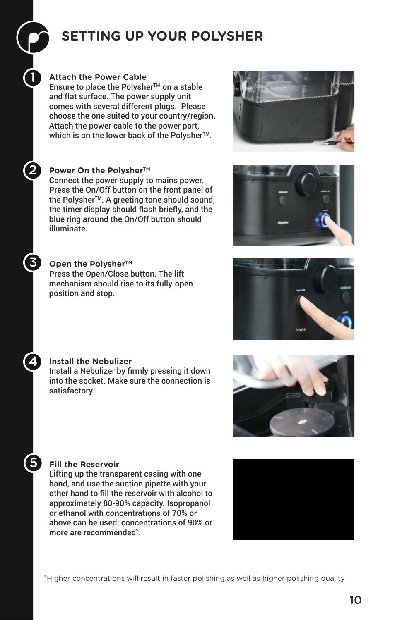# **SETTING UP YOUR POLYSHER**

### **Attach the Power Cable**

1

2

3

4

5

Ensure to place the Polysher™ on a stable and flat surface. The power supply unit comes with several different plugs. Please choose the one suited to your country/region. Attach the power cable to the power port, which is on the lower back of the Polysher™.

### **Power On the PolysherTM**

Connect the power supply to mains power. Press the On/Off button on the front panel of the Polysher<sup>™</sup>. A greeting tone should sound, the timer display should flash briefly, and the blue ring around the On/Off button should illuminate.

### **Open the PolysherTM**

Press the Open/Close button. The lift mechanism should rise to its fully-open position and stop.









### **Install the Nebulizer**

Install a Nebulizer by firmly pressing it down into the socket. Make sure the connection is satisfactory.



Lifting up the transparent casing with one hand, and use the suction pipette with your other hand to fill the reservoir with alcohol to approximately 80-90% capacity. Isopropanol or ethanol with concentrations of 70% or above can be used; concentrations of 90% or more are recommended<sup>3</sup>.

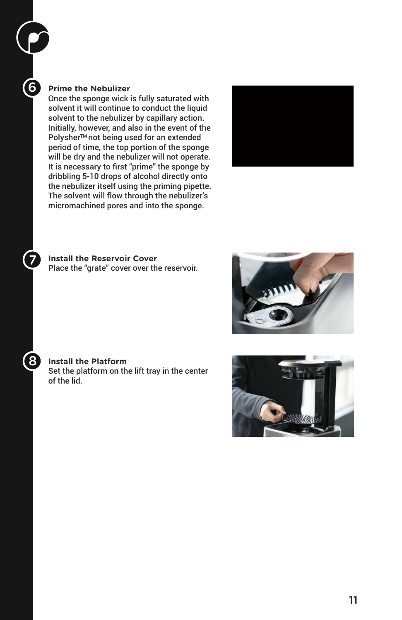#### **Prime the Nebulizer**

6

7

8

Once the sponge wick is fully saturated with solvent it will continue to conduct the liquid solvent to the nebulizer by capillary action. Initially, however, and also in the event of the Polysher<sup>™</sup> not being used for an extended period of time, the top portion of the sponge will be dry and the nebulizer will not operate. It is necessary to first "prime" the sponge by dribbling 5-10 drops of alcohol directly onto the nebulizer itself using the priming pipette. The solvent will flow through the nebulizer's micromachined pores and into the sponge.



**Install the Reservoir Cover** Place the "grate" cover over the reservoir.



#### **Install the Platform**

Set the platform on the lift tray in the center of the lid.

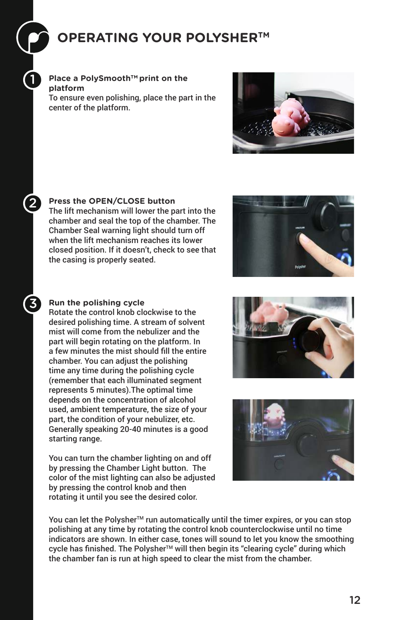## **OPERATING YOUR POLYSHERTM**

**Place a PolySmoothTM print on the platform**

1

2

3

To ensure even polishing, place the part in the center of the platform.



**Press the OPEN/CLOSE button**

The lift mechanism will lower the part into the chamber and seal the top of the chamber. The Chamber Seal warning light should turn off when the lift mechanism reaches its lower closed position. If it doesn't, check to see that the casing is properly seated.



### **Run the polishing cycle**

Rotate the control knob clockwise to the desired polishing time. A stream of solvent mist will come from the nebulizer and the part will begin rotating on the platform. In a few minutes the mist should fill the entire chamber. You can adjust the polishing time any time during the polishing cycle (remember that each illuminated segment represents 5 minutes).The optimal time depends on the concentration of alcohol used, ambient temperature, the size of your part, the condition of your nebulizer, etc. Generally speaking 20-40 minutes is a good starting range.

You can turn the chamber lighting on and off by pressing the Chamber Light button. The color of the mist lighting can also be adjusted by pressing the control knob and then rotating it until you see the desired color.





You can let the Polysher™ run automatically until the timer expires, or you can stop polishing at any time by rotating the control knob counterclockwise until no time indicators are shown. In either case, tones will sound to let you know the smoothing cycle has finished. The Polysher<sup>™</sup> will then begin its "clearing cycle" during which the chamber fan is run at high speed to clear the mist from the chamber.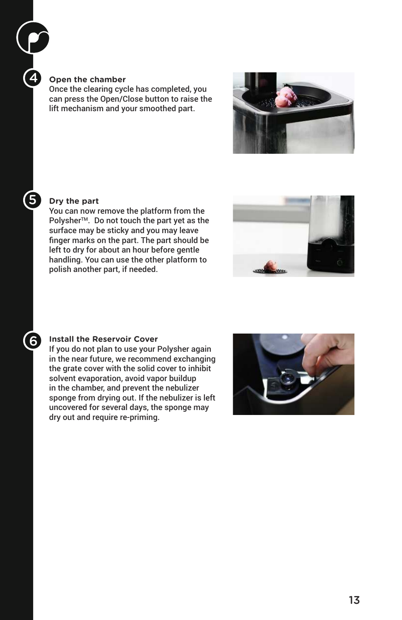#### **Open the chamber**

4

5

 $6$ 

Once the clearing cycle has completed, you can press the Open/Close button to raise the lift mechanism and your smoothed part.



#### **Dry the part**

You can now remove the platform from the Polysher<sup>™</sup>. Do not touch the part yet as the surface may be sticky and you may leave finger marks on the part. The part should be left to dry for about an hour before gentle handling. You can use the other platform to polish another part, if needed.



#### **Install the Reservoir Cover**

If you do not plan to use your Polysher again in the near future, we recommend exchanging the grate cover with the solid cover to inhibit solvent evaporation, avoid vapor buildup in the chamber, and prevent the nebulizer sponge from drying out. If the nebulizer is left uncovered for several days, the sponge may dry out and require re-priming.

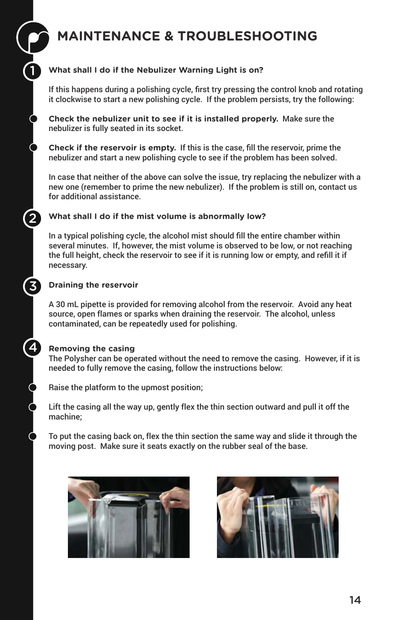# **MAINTENANCE & TROUBLESHOOTING**

### **What shall I do if the Nebulizer Warning Light is on?**

If this happens during a polishing cycle, first try pressing the control knob and rotating it clockwise to start a new polishing cycle. If the problem persists, try the following:

**Check the nebulizer unit to see if it is installed properly.** Make sure the nebulizer is fully seated in its socket.

**Check if the reservoir is empty.** If this is the case, fill the reservoir, prime the nebulizer and start a new polishing cycle to see if the problem has been solved.

In case that neither of the above can solve the issue, try replacing the nebulizer with a new one (remember to prime the new nebulizer). If the problem is still on, contact us for additional assistance.

### **What shall I do if the mist volume is abnormally low?**

In a typical polishing cycle, the alcohol mist should fill the entire chamber within several minutes. If, however, the mist volume is observed to be low, or not reaching the full height, check the reservoir to see if it is running low or empty, and refill it if necessary.

### **Draining the reservoir**

1

2

3

4

A 30 mL pipette is provided for removing alcohol from the reservoir. Avoid any heat source, open flames or sparks when draining the reservoir. The alcohol, unless contaminated, can be repeatedly used for polishing.

### **Removing the casing**

The Polysher can be operated without the need to remove the casing. However, if it is needed to fully remove the casing, follow the instructions below:

Raise the platform to the upmost position;

Lift the casing all the way up, gently flex the thin section outward and pull it off the machine;

To put the casing back on, flex the thin section the same way and slide it through the moving post. Make sure it seats exactly on the rubber seal of the base.



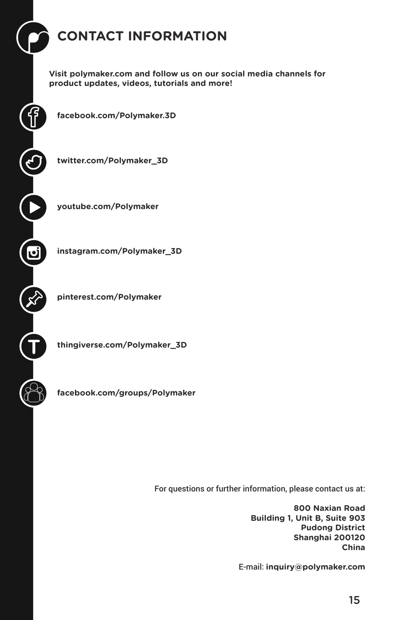# **CONTACT INFORMATION**

**Visit polymaker.com and follow us on our social media channels for product updates, videos, tutorials and more!** 

**facebook.com/Polymaker.3D**

**twitter.com/Polymaker\_3D**

**youtube.com/Polymaker**

**instagram.com/Polymaker\_3D**

**pinterest.com/Polymaker**

**T**

<u>آما</u>

**thingiverse.com/Polymaker\_3D**

**facebook.com/groups/Polymaker**

For questions or further information, please contact us at:

**800 Naxian Road Building 1, Unit B, Suite 903 Pudong District Shanghai 200120 China**

E-mail: **inquiry@polymaker.com**